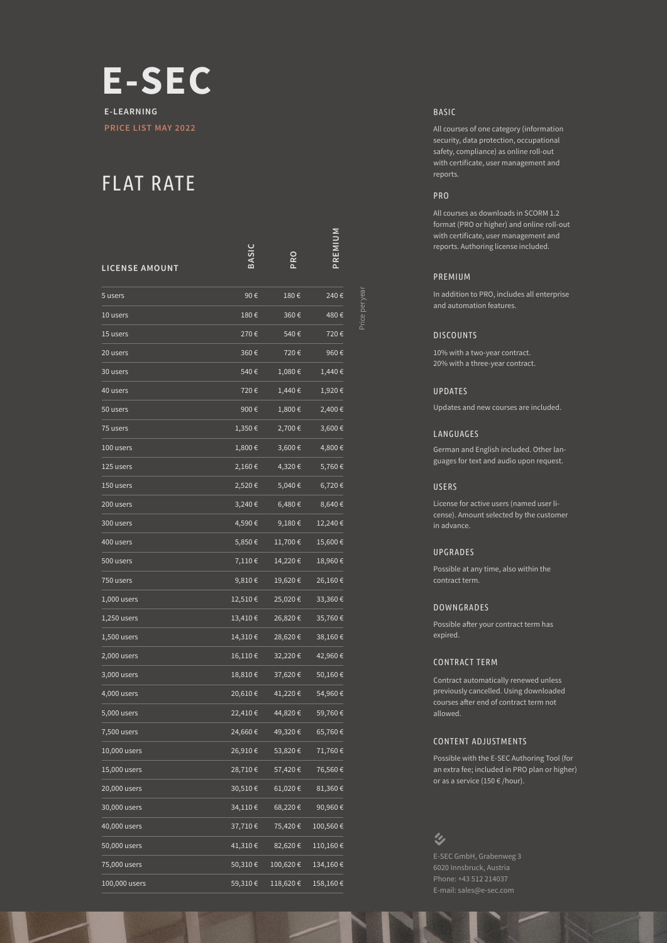

## FLAT RATE

| <b>LICENSE AMOUNT</b> |         | PRO      | PREMIUM      |
|-----------------------|---------|----------|--------------|
| 5 users               | 90€     | 180€     | 240€         |
| 10 users              | 180€    | 360€     | 480€         |
| 15 users              | 270€    | 540€     | 720€         |
| 20 users              | 360€    | 720€     | 960€         |
| 30 users              | 540€    | 1,080€   | 1,440€       |
| 40 users              | 720€    | 1,440€   | 1,920€       |
| 50 users              | 900€    | 1,800€   | 2,400€       |
| 75 users              | 1,350€  | 2,700€   | 3,600€       |
| 100 users             | 1,800€  | 3,600€   | 4,800€       |
| 125 users             | 2,160€  | 4,320€   | 5,760€       |
| 150 users             | 2,520€  | 5,040€   | 6,720€       |
| 200 users             | 3,240€  | 6,480€   | 8,640€       |
| 300 users             | 4,590€  | 9,180€   | 12,240€      |
| 400 users             | 5,850€  | 11,700€  | 15,600€      |
| 500 users             | 7,110€  | 14,220€  | 18,960€      |
| 750 users             | 9,810€  | 19,620€  | 26,160€      |
| $1,000$ users         | 12,510€ | 25,020€  | 33,360€      |
| 1,250 users           | 13,410€ | 26,820€  | 35,760€      |
| $1,500$ users         | 14,310€ | 28,620€  | 38,160€      |
| 2,000 users           | 16,110€ | 32,220€  | 42,960€      |
| 3,000 users           | 18,810€ | 37,620€  | 50,160€      |
| 4,000 users           | 20,610€ | 41,220€  | 54,960€      |
| 5,000 users           | 22,410€ | 44,820€  | 59,760€      |
| 7,500 users           | 24,660€ | 49,320€  | 65,760€      |
| 10,000 users          | 26,910€ | 53,820€  | 71,760€      |
| 15,000 users          | 28,710€ | 57,420€  | 76,560€      |
| 20,000 users          | 30,510€ | 61,020 € | $81,360 \in$ |
| 30,000 users          | 34,110€ | 68,220€  | 90,960€      |
| 40,000 users          | 37,710€ | 75,420€  | 100,560€     |
| 50,000 users          | 41,310€ | 82,620€  | 110,160€     |
| 75,000 users          | 50,310€ | 100,620€ | 134,160€     |
| 100,000 users         | 59,310€ | 118,620€ | 158,160€     |

BASIC

All courses of one category (information security, data protection, occupational safety, compliance) as online roll-out with certificate, user management and reports.

## PRO

All courses as downloads in SCORM 1.2 format (PRO or higher) and online roll-out with certificate, user management and reports. Authoring license included.

#### PREMIUM

Price per year

In addition to PRO, includes all enterprise and automation features.

#### **DISCOUNTS**

10% with a two-year contract. 20% with a three-year contract.

#### UPDATES

Updates and new courses are included.

#### LANGUAGES

German and English included. Other languages for text and audio upon request.

#### USERS

License for active users (named user license). Amount selected by the customer in advance.

#### UPGRADES

Possible at any time, also within the contract term.

#### DOWNGRADES

Possible after your contract term has expired.

#### CONTRACT TERM

Contract automatically renewed unless previously cancelled. Using downloaded courses after end of contract term not allowed.

#### CONTENT ADJUSTMENTS

Possible with the E-SEC Authoring Tool (for an extra fee; included in PRO plan or higher) or as a service (150  $\epsilon$  /hour).

## $\mathbf{\hat{z}}$

6020 Innsbruck, Austria Phone: +43 512 214037 E-mail: sales@e-sec.com